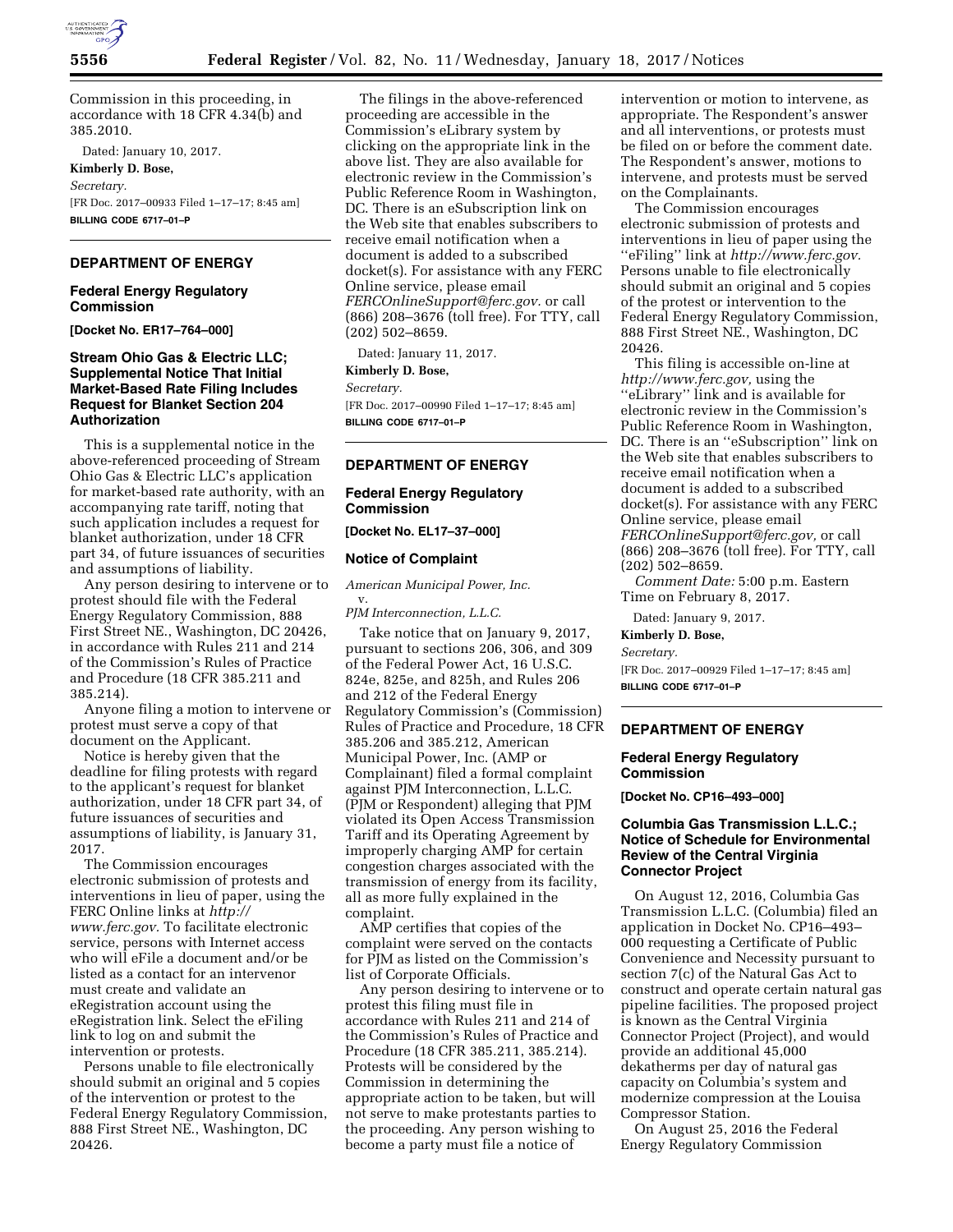

Commission in this proceeding, in accordance with 18 CFR 4.34(b) and 385.2010.

Dated: January 10, 2017.

**Kimberly D. Bose,**  *Secretary.*  [FR Doc. 2017–00933 Filed 1–17–17; 8:45 am] **BILLING CODE 6717–01–P** 

# **DEPARTMENT OF ENERGY**

### **Federal Energy Regulatory Commission**

**[Docket No. ER17–764–000]** 

# **Stream Ohio Gas & Electric LLC; Supplemental Notice That Initial Market-Based Rate Filing Includes Request for Blanket Section 204 Authorization**

This is a supplemental notice in the above-referenced proceeding of Stream Ohio Gas & Electric LLC's application for market-based rate authority, with an accompanying rate tariff, noting that such application includes a request for blanket authorization, under 18 CFR part 34, of future issuances of securities and assumptions of liability.

Any person desiring to intervene or to protest should file with the Federal Energy Regulatory Commission, 888 First Street NE., Washington, DC 20426, in accordance with Rules 211 and 214 of the Commission's Rules of Practice and Procedure (18 CFR 385.211 and 385.214).

Anyone filing a motion to intervene or protest must serve a copy of that document on the Applicant.

Notice is hereby given that the deadline for filing protests with regard to the applicant's request for blanket authorization, under 18 CFR part 34, of future issuances of securities and assumptions of liability, is January 31, 2017.

The Commission encourages electronic submission of protests and interventions in lieu of paper, using the FERC Online links at *[http://](http://www.ferc.gov) [www.ferc.gov.](http://www.ferc.gov)* To facilitate electronic service, persons with Internet access who will eFile a document and/or be listed as a contact for an intervenor must create and validate an eRegistration account using the eRegistration link. Select the eFiling link to log on and submit the intervention or protests.

Persons unable to file electronically should submit an original and 5 copies of the intervention or protest to the Federal Energy Regulatory Commission, 888 First Street NE., Washington, DC 20426.

The filings in the above-referenced proceeding are accessible in the Commission's eLibrary system by clicking on the appropriate link in the above list. They are also available for electronic review in the Commission's Public Reference Room in Washington, DC. There is an eSubscription link on the Web site that enables subscribers to receive email notification when a document is added to a subscribed docket(s). For assistance with any FERC Online service, please email *[FERCOnlineSupport@ferc.gov.](mailto:FERCOnlineSupport@ferc.gov)* or call (866) 208–3676 (toll free). For TTY, call (202) 502–8659.

Dated: January 11, 2017.

**Kimberly D. Bose,** 

*Secretary.*  [FR Doc. 2017–00990 Filed 1–17–17; 8:45 am]

**BILLING CODE 6717–01–P** 

# **DEPARTMENT OF ENERGY**

# **Federal Energy Regulatory Commission**

#### **[Docket No. EL17–37–000]**

#### **Notice of Complaint**

*American Municipal Power, Inc.*  v.

*PJM Interconnection, L.L.C.* 

Take notice that on January 9, 2017, pursuant to sections 206, 306, and 309 of the Federal Power Act, 16 U.S.C. 824e, 825e, and 825h, and Rules 206 and 212 of the Federal Energy Regulatory Commission's (Commission) Rules of Practice and Procedure, 18 CFR 385.206 and 385.212, American Municipal Power, Inc. (AMP or Complainant) filed a formal complaint against PJM Interconnection, L.L.C. (PJM or Respondent) alleging that PJM violated its Open Access Transmission Tariff and its Operating Agreement by improperly charging AMP for certain congestion charges associated with the transmission of energy from its facility, all as more fully explained in the complaint.

AMP certifies that copies of the complaint were served on the contacts for PJM as listed on the Commission's list of Corporate Officials.

Any person desiring to intervene or to protest this filing must file in accordance with Rules 211 and 214 of the Commission's Rules of Practice and Procedure (18 CFR 385.211, 385.214). Protests will be considered by the Commission in determining the appropriate action to be taken, but will not serve to make protestants parties to the proceeding. Any person wishing to become a party must file a notice of

intervention or motion to intervene, as appropriate. The Respondent's answer and all interventions, or protests must be filed on or before the comment date. The Respondent's answer, motions to intervene, and protests must be served on the Complainants.

The Commission encourages electronic submission of protests and interventions in lieu of paper using the ''eFiling'' link at *[http://www.ferc.gov.](http://www.ferc.gov)*  Persons unable to file electronically should submit an original and 5 copies of the protest or intervention to the Federal Energy Regulatory Commission, 888 First Street NE., Washington, DC 20426.

This filing is accessible on-line at *[http://www.ferc.gov,](http://www.ferc.gov)* using the ''eLibrary'' link and is available for electronic review in the Commission's Public Reference Room in Washington, DC. There is an ''eSubscription'' link on the Web site that enables subscribers to receive email notification when a document is added to a subscribed docket(s). For assistance with any FERC Online service, please email *[FERCOnlineSupport@ferc.gov,](mailto:FERCOnlineSupport@ferc.gov)* or call (866) 208–3676 (toll free). For TTY, call (202) 502–8659.

*Comment Date:* 5:00 p.m. Eastern Time on February 8, 2017.

Dated: January 9, 2017.

**Kimberly D. Bose,**  *Secretary.*  [FR Doc. 2017–00929 Filed 1–17–17; 8:45 am] **BILLING CODE 6717–01–P** 

### **DEPARTMENT OF ENERGY**

# **Federal Energy Regulatory Commission**

**[Docket No. CP16–493–000]** 

# **Columbia Gas Transmission L.L.C.; Notice of Schedule for Environmental Review of the Central Virginia Connector Project**

On August 12, 2016, Columbia Gas Transmission L.L.C. (Columbia) filed an application in Docket No. CP16–493– 000 requesting a Certificate of Public Convenience and Necessity pursuant to section 7(c) of the Natural Gas Act to construct and operate certain natural gas pipeline facilities. The proposed project is known as the Central Virginia Connector Project (Project), and would provide an additional 45,000 dekatherms per day of natural gas capacity on Columbia's system and modernize compression at the Louisa Compressor Station.

On August 25, 2016 the Federal Energy Regulatory Commission